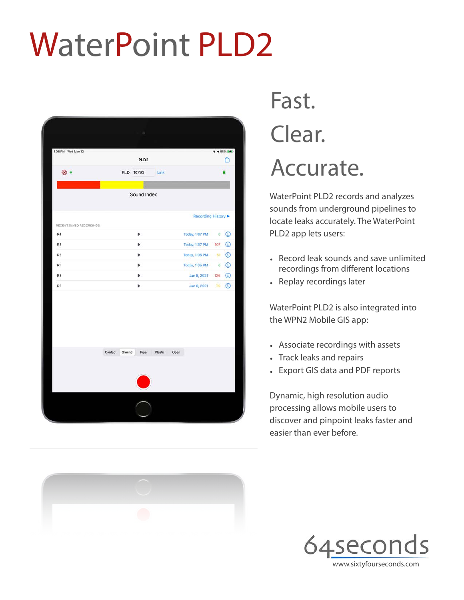# WaterPoint PLD2

| 1:08 PM Wed May 12      |                                      | $7 495\%$ (4)                                      |
|-------------------------|--------------------------------------|----------------------------------------------------|
|                         | PLD <sub>2</sub>                     | M                                                  |
| $\bullet$ :             | PLD 10793<br>Link                    |                                                    |
|                         |                                      |                                                    |
|                         | Sound Index                          |                                                    |
|                         |                                      |                                                    |
| RECENT SAVED RECORDINGS |                                      | Recording History ▶                                |
| R4                      | Þ                                    | $\odot$<br>Today, 1:07 PM<br>$\mathbf{O}^{\times}$ |
| R <sub>3</sub>          | Þ                                    | $\bigcirc$<br>Today, 1:07 PM<br>107                |
| R2                      | ь                                    | $\odot$<br>Today, 1:06 PM 51                       |
| R1                      | Þ                                    | $\odot$<br>Today, 1:05 PM<br>$\mathbf{O}$          |
| R3                      | Þ                                    | $\bigcirc$<br>Jan 8, 2021 126                      |
| R2                      | Þ                                    | Jan 8, 2021 70 (1)                                 |
|                         |                                      |                                                    |
|                         | Ground<br>Pipe<br>Contact<br>Plastic | Open                                               |
|                         |                                      |                                                    |



### Fast. Clear. Accurate.

WaterPoint PLD2 records and analyzes sounds from underground pipelines to locate leaks accurately. The WaterPoint PLD2 app lets users:

- Record leak sounds and save unlimited recordings from different locations
- Replay recordings later

WaterPoint PLD2 is also integrated into the WPN2 Mobile GIS app:

- Associate recordings with assets
- Track leaks and repairs
- Export GIS data and PDF reports

Dynamic, high resolution audio processing allows mobile users to discover and pinpoint leaks faster and easier than ever before.